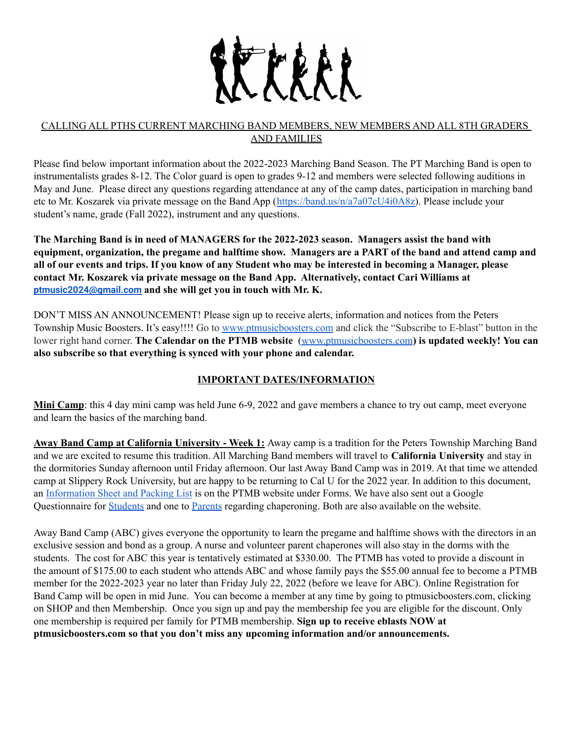

### CALLING ALL PTHS CURRENT MARCHING BAND MEMBERS, NEW MEMBERS AND ALL 8TH GRADERS AND FAMILIES

Please find below important information about the 2022-2023 Marching Band Season. The PT Marching Band is open to instrumentalists grades 8-12. The Color guard is open to grades 9-12 and members were selected following auditions in May and June. Please direct any questions regarding attendance at any of the camp dates, participation in marching band etc to Mr. Koszarek via private message on the Band App ([https://band.us/n/a7a07cU4i0A8z\)](https://band.us/n/a7a07cU4i0A8z). Please include your student's name, grade (Fall 2022), instrument and any questions.

**The Marching Band is in need of MANAGERS for the 2022-2023 season. Managers assist the band with** equipment, organization, the pregame and halftime show. Managers are a PART of the band and attend camp and all of our events and trips. If you know of any Student who may be interested in becoming a Manager, please **contact Mr. Koszarek via private message on the Band App. Alternatively, contact Cari Williams at [ptmusic2024@gmail.com](mailto:ptmusic2024@gmail.com) and she will get you in touch with Mr. K.**

DON'T MISS AN ANNOUNCEMENT! Please sign up to receive alerts, information and notices from the Peters Township Music Boosters. It's easy!!!! Go to [www.ptmusicboosters.com](http://www.ptmusicboosters.com/) and click the "Subscribe to E-blast" button in the lower right hand corner. **The Calendar on the PTMB website** [\(www.ptmusicboosters.com](http://www.ptmusicboosters.com/)**) is updated weekly! You can also subscribe so that everything is synced with your phone and calendar.**

# **IMPORTANT DATES/INFORMATION**

**Mini Camp**: this 4 day mini camp was held June 6-9, 2022 and gave members a chance to try out camp, meet everyone and learn the basics of the marching band.

**Away Band Camp at California University - Week 1:** Away camp is a tradition for the Peters Township Marching Band and we are excited to resume this tradition. All Marching Band members will travel to **California University** and stay in the dormitories Sunday afternoon until Friday afternoon. Our last Away Band Camp was in 2019. At that time we attended camp at Slippery Rock University, but are happy to be returning to Cal U for the 2022 year. In addition to this document, an [Information](https://ptmusicboosters.com/wp-content/uploads/2022/06/CALIFORNIA-UNIVERSITY-AWAY-BAND-CAMP-1.pdf) Sheet and Packing List is on the PTMB website under Forms. We have also sent out a Google Questionnaire for [Students](https://forms.gle/yJAhHnpMhZVJXtK1A) and one to [Parents](https://forms.gle/LD4xafS2Sz9rWCgp7) regarding chaperoning. Both are also available on the website.

Away Band Camp (ABC) gives everyone the opportunity to learn the pregame and halftime shows with the directors in an exclusive session and bond as a group. A nurse and volunteer parent chaperones will also stay in the dorms with the students. The cost for ABC this year is tentatively estimated at \$330.00. The PTMB has voted to provide a discount in the amount of \$175.00 to each student who attends ABC and whose family pays the \$55.00 annual fee to become a PTMB member for the 2022-2023 year no later than Friday July 22, 2022 (before we leave for ABC). Online Registration for Band Camp will be open in mid June. You can become a member at any time by going to ptmusicboosters.com, clicking on SHOP and then Membership. Once you sign up and pay the membership fee you are eligible for the discount. Only one membership is required per family for PTMB membership. **Sign up to receive eblasts NOW at ptmusicboosters.com so that you don't miss any upcoming information and/or announcements.**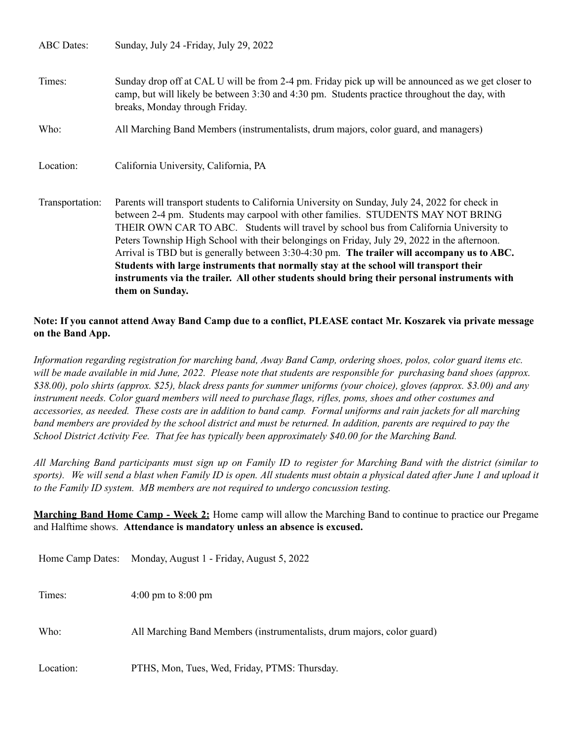ABC Dates: Sunday, July 24 -Friday, July 29, 2022

Times: Sunday drop off at CAL U will be from 2-4 pm. Friday pick up will be announced as we get closer to camp, but will likely be between 3:30 and 4:30 pm. Students practice throughout the day, with breaks, Monday through Friday.

Who: All Marching Band Members (instrumentalists, drum majors, color guard, and managers)

Location: California University, California, PA

Transportation: Parents will transport students to California University on Sunday, July 24, 2022 for check in between 2-4 pm. Students may carpool with other families. STUDENTS MAY NOT BRING THEIR OWN CAR TO ABC. Students will travel by school bus from California University to Peters Township High School with their belongings on Friday, July 29, 2022 in the afternoon. Arrival is TBD but is generally between 3:30-4:30 pm. **The trailer will accompany us to ABC. Students with large instruments that normally stay at the school will transport their instruments via the trailer. All other students should bring their personal instruments with them on Sunday.**

#### Note: If you cannot attend Away Band Camp due to a conflict, PLEASE contact Mr. Koszarek via private message **on the Band App.**

Information regarding registration for marching band, Away Band Camp, ordering shoes, polos, color guard items etc. will be made available in mid June, 2022. Please note that students are responsible for purchasing band shoes (approx. \$38.00), polo shirts (approx. \$25), black dress pants for summer uniforms (your choice), gloves (approx. \$3.00) and any instrument needs. Color guard members will need to purchase flags, rifles, poms, shoes and other costumes and accessories, as needed. These costs are in addition to band camp. Formal uniforms and rain jackets for all marching band members are provided by the school district and must be returned. In addition, parents are required to pay the *School District Activity Fee. That fee has typically been approximately \$40.00 for the Marching Band.*

All Marching Band participants must sign up on Family ID to register for Marching Band with the district (similar to sports). We will send a blast when Family ID is open. All students must obtain a physical dated after June 1 and upload it *to the Family ID system. MB members are not required to undergo concussion testing.*

**Marching Band Home Camp - Week 2:** Home camp will allow the Marching Band to continue to practice our Pregame and Halftime shows. **Attendance is mandatory unless an absence is excused.**

| Home Camp Dates: | Monday, August 1 - Friday, August 5, 2022                              |
|------------------|------------------------------------------------------------------------|
| Times:           | 4:00 pm to 8:00 pm                                                     |
| Who:             | All Marching Band Members (instrumentalists, drum majors, color guard) |
| Location:        | PTHS, Mon, Tues, Wed, Friday, PTMS: Thursday.                          |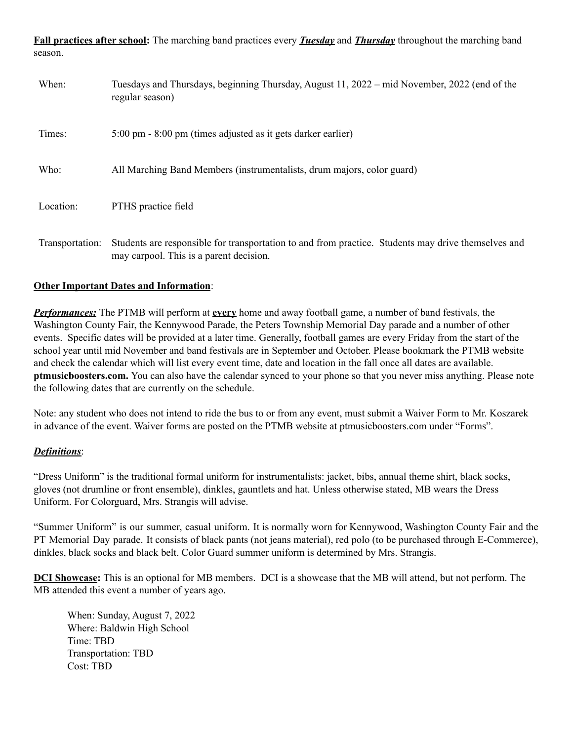**Fall practices after school:** The marching band practices every *Tuesday* and *Thursday* throughout the marching band season.

| When:           | Tuesdays and Thursdays, beginning Thursday, August 11, 2022 – mid November, 2022 (end of the<br>regular season)                                |
|-----------------|------------------------------------------------------------------------------------------------------------------------------------------------|
| Times:          | 5:00 pm - 8:00 pm (times adjusted as it gets darker earlier)                                                                                   |
| Who:            | All Marching Band Members (instrumentalists, drum majors, color guard)                                                                         |
| Location:       | PTHS practice field                                                                                                                            |
| Transportation: | Students are responsible for transportation to and from practice. Students may drive themselves and<br>may carpool. This is a parent decision. |

### **Other Important Dates and Information**:

*Performances:* The PTMB will perform at **every** home and away football game, a number of band festivals, the Washington County Fair, the Kennywood Parade, the Peters Township Memorial Day parade and a number of other events. Specific dates will be provided at a later time. Generally, football games are every Friday from the start of the school year until mid November and band festivals are in September and October. Please bookmark the PTMB website and check the calendar which will list every event time, date and location in the fall once all dates are available. **ptmusicboosters.com.** You can also have the calendar synced to your phone so that you never miss anything. Please note the following dates that are currently on the schedule.

Note: any student who does not intend to ride the bus to or from any event, must submit a Waiver Form to Mr. Koszarek in advance of the event. Waiver forms are posted on the PTMB website at ptmusicboosters.com under "Forms".

### *Definitions*:

"Dress Uniform" is the traditional formal uniform for instrumentalists: jacket, bibs, annual theme shirt, black socks, gloves (not drumline or front ensemble), dinkles, gauntlets and hat. Unless otherwise stated, MB wears the Dress Uniform. For Colorguard, Mrs. Strangis will advise.

"Summer Uniform" is our summer, casual uniform. It is normally worn for Kennywood, Washington County Fair and the PT Memorial Day parade. It consists of black pants (not jeans material), red polo (to be purchased through E-Commerce), dinkles, black socks and black belt. Color Guard summer uniform is determined by Mrs. Strangis.

**DCI Showcase:** This is an optional for MB members. DCI is a showcase that the MB will attend, but not perform. The MB attended this event a number of years ago.

When: Sunday, August 7, 2022 Where: Baldwin High School Time: TBD Transportation: TBD Cost: TBD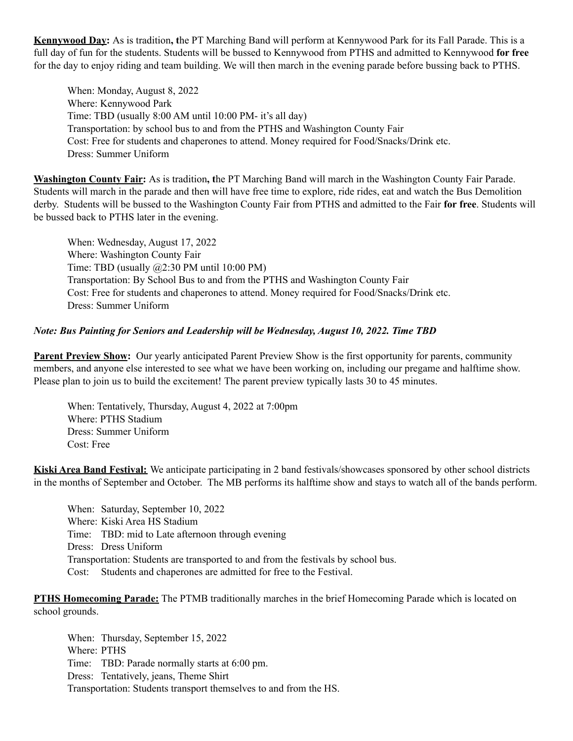**Kennywood Day:** As is tradition**, t**he PT Marching Band will perform at Kennywood Park for its Fall Parade. This is a full day of fun for the students. Students will be bussed to Kennywood from PTHS and admitted to Kennywood **for free** for the day to enjoy riding and team building. We will then march in the evening parade before bussing back to PTHS.

When: Monday, August 8, 2022 Where: Kennywood Park Time: TBD (usually 8:00 AM until 10:00 PM- it's all day) Transportation: by school bus to and from the PTHS and Washington County Fair Cost: Free for students and chaperones to attend. Money required for Food/Snacks/Drink etc. Dress: Summer Uniform

**Washington County Fair:** As is tradition**, t**he PT Marching Band will march in the Washington County Fair Parade. Students will march in the parade and then will have free time to explore, ride rides, eat and watch the Bus Demolition derby. Students will be bussed to the Washington County Fair from PTHS and admitted to the Fair **for free**. Students will be bussed back to PTHS later in the evening.

When: Wednesday, August 17, 2022 Where: Washington County Fair Time: TBD (usually @2:30 PM until 10:00 PM) Transportation: By School Bus to and from the PTHS and Washington County Fair Cost: Free for students and chaperones to attend. Money required for Food/Snacks/Drink etc. Dress: Summer Uniform

#### *Note: Bus Painting for Seniors and Leadership will be Wednesday, August 10, 2022. Time TBD*

**Parent Preview Show:** Our yearly anticipated Parent Preview Show is the first opportunity for parents, community members, and anyone else interested to see what we have been working on, including our pregame and halftime show. Please plan to join us to build the excitement! The parent preview typically lasts 30 to 45 minutes.

When: Tentatively, Thursday, August 4, 2022 at 7:00pm Where: PTHS Stadium Dress: Summer Uniform Cost: Free

**Kiski Area Band Festival:** We anticipate participating in 2 band festivals/showcases sponsored by other school districts in the months of September and October. The MB performs its halftime show and stays to watch all of the bands perform.

When: Saturday, September 10, 2022 Where: Kiski Area HS Stadium Time: TBD: mid to Late afternoon through evening Dress: Dress Uniform Transportation: Students are transported to and from the festivals by school bus. Cost: Students and chaperones are admitted for free to the Festival.

**PTHS Homecoming Parade:** The PTMB traditionally marches in the brief Homecoming Parade which is located on school grounds.

When: Thursday, September 15, 2022 Where: PTHS Time: TBD: Parade normally starts at 6:00 pm. Dress: Tentatively, jeans, Theme Shirt Transportation: Students transport themselves to and from the HS.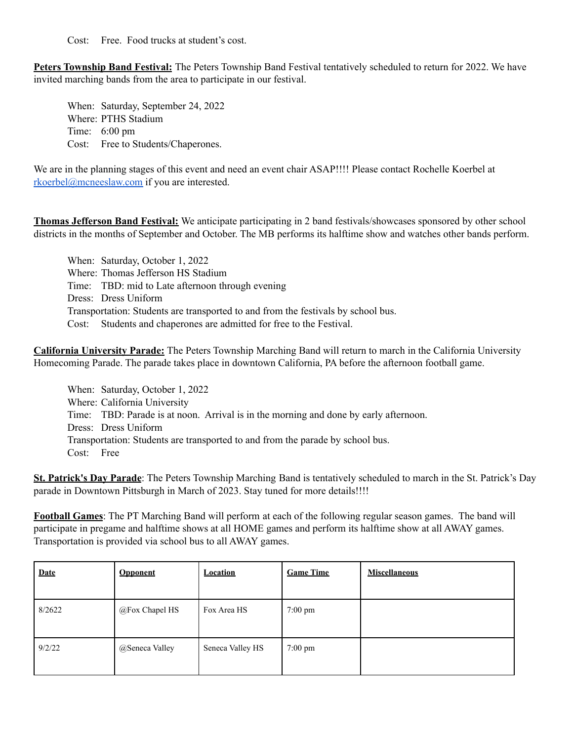Cost: Free. Food trucks at student's cost.

**Peters Township Band Festival:** The Peters Township Band Festival tentatively scheduled to return for 2022. We have invited marching bands from the area to participate in our festival.

When: Saturday, September 24, 2022 Where: PTHS Stadium Time: 6:00 pm Cost: Free to Students/Chaperones.

We are in the planning stages of this event and need an event chair ASAP!!!! Please contact Rochelle Koerbel at [rkoerbel@mcneeslaw.com](mailto:rkoerbel@mcneeslaw.com) if you are interested.

**Thomas Jefferson Band Festival:** We anticipate participating in 2 band festivals/showcases sponsored by other school districts in the months of September and October. The MB performs its halftime show and watches other bands perform.

When: Saturday, October 1, 2022 Where: Thomas Jefferson HS Stadium Time: TBD: mid to Late afternoon through evening Dress: Dress Uniform Transportation: Students are transported to and from the festivals by school bus. Cost: Students and chaperones are admitted for free to the Festival.

**California University Parade:** The Peters Township Marching Band will return to march in the California University Homecoming Parade. The parade takes place in downtown California, PA before the afternoon football game.

When: Saturday, October 1, 2022 Where: California University Time: TBD: Parade is at noon. Arrival is in the morning and done by early afternoon. Dress: Dress Uniform Transportation: Students are transported to and from the parade by school bus. Cost: Free

**St. Patrick's Day Parade**: The Peters Township Marching Band is tentatively scheduled to march in the St. Patrick's Day parade in Downtown Pittsburgh in March of 2023. Stay tuned for more details!!!!

**Football Games**: The PT Marching Band will perform at each of the following regular season games. The band will participate in pregame and halftime shows at all HOME games and perform its halftime show at all AWAY games. Transportation is provided via school bus to all AWAY games.

| <b>Date</b> | <b>Opponent</b> | <b>Location</b>  | <b>Game Time</b>  | <b>Miscellaneous</b> |
|-------------|-----------------|------------------|-------------------|----------------------|
| 8/2622      | @Fox Chapel HS  | Fox Area HS      | $7:00$ pm         |                      |
| 9/2/22      | @Seneca Valley  | Seneca Valley HS | $7:00 \text{ pm}$ |                      |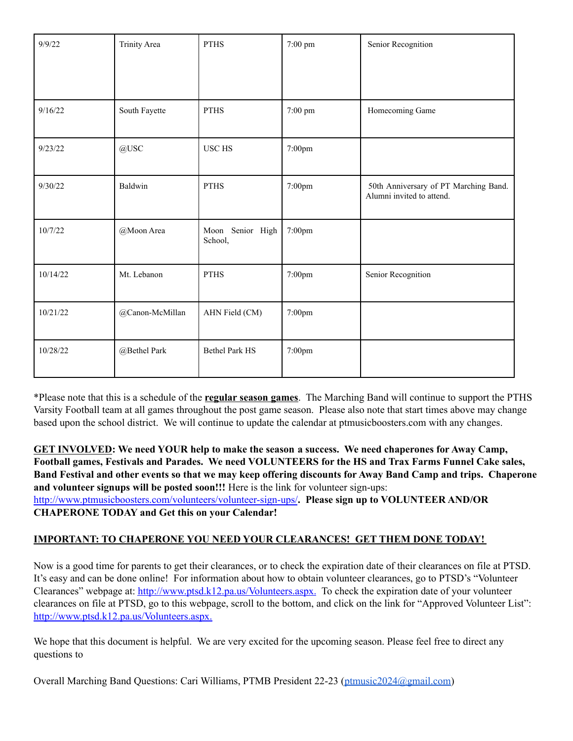| 9/9/22   | <b>Trinity Area</b> | <b>PTHS</b>                 | 7:00 pm | Senior Recognition                                                 |
|----------|---------------------|-----------------------------|---------|--------------------------------------------------------------------|
| 9/16/22  | South Fayette       | <b>PTHS</b>                 | 7:00 pm | Homecoming Game                                                    |
| 9/23/22  | @USC                | <b>USC HS</b>               | 7:00pm  |                                                                    |
| 9/30/22  | Baldwin             | <b>PTHS</b>                 | 7:00pm  | 50th Anniversary of PT Marching Band.<br>Alumni invited to attend. |
| 10/7/22  | @Moon Area          | Moon Senior High<br>School, | 7:00pm  |                                                                    |
| 10/14/22 | Mt. Lebanon         | <b>PTHS</b>                 | 7:00pm  | Senior Recognition                                                 |
| 10/21/22 | @Canon-McMillan     | AHN Field (CM)              | 7:00pm  |                                                                    |
| 10/28/22 | @Bethel Park        | <b>Bethel Park HS</b>       | 7:00pm  |                                                                    |

\*Please note that this is a schedule of the **regular season games**. The Marching Band will continue to support the PTHS Varsity Football team at all games throughout the post game season. Please also note that start times above may change based upon the school district. We will continue to update the calendar at ptmusicboosters.com with any changes.

**GET INVOLVED: We need YOUR help to make the season a success. We need chaperones for Away Camp, Football games, Festivals and Parades. We need VOLUNTEERS for the HS and Trax Farms Funnel Cake sales,** Band Festival and other events so that we may keep offering discounts for Away Band Camp and trips. Chaperone **and volunteer signups will be posted soon!!!** Here is the link for volunteer sign-ups: <http://www.ptmusicboosters.com/volunteers/volunteer-sign-ups/>**. Please sign up to VOLUNTEER AND/OR CHAPERONE TODAY and Get this on your Calendar!**

### **IMPORTANT: TO CHAPERONE YOU NEED YOUR CLEARANCES! GET THEM DONE TODAY!**

Now is a good time for parents to get their clearances, or to check the expiration date of their clearances on file at PTSD. It's easy and can be done online! For information about how to obtain volunteer clearances, go to PTSD's "Volunteer Clearances" webpage at: [http://www.ptsd.k12.pa.us/Volunteers.aspx.](http://www.ptsd.k12.pa.us/Volunteers.aspx) To check the expiration date of your volunteer clearances on file at PTSD, go to this webpage, scroll to the bottom, and click on the link for "Approved Volunteer List": [http://www.ptsd.k12.pa.us/Volunteers.aspx.](http://www.ptsd.k12.pa.us/Volunteers.aspx)

We hope that this document is helpful. We are very excited for the upcoming season. Please feel free to direct any questions to

Overall Marching Band Questions: Cari Williams, PTMB President 22-23 [\(ptmusic2024@gmail.com\)](mailto:ptmusic2024@gmail.com)